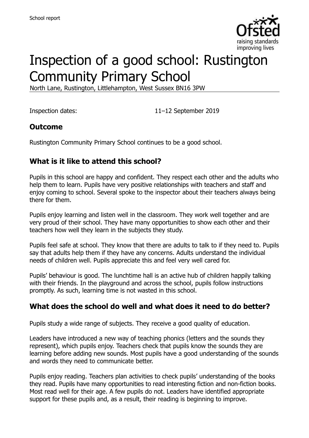

# Inspection of a good school: Rustington Community Primary School

North Lane, Rustington, Littlehampton, West Sussex BN16 3PW

Inspection dates: 11–12 September 2019

#### **Outcome**

Rustington Community Primary School continues to be a good school.

# **What is it like to attend this school?**

Pupils in this school are happy and confident. They respect each other and the adults who help them to learn. Pupils have very positive relationships with teachers and staff and enjoy coming to school. Several spoke to the inspector about their teachers always being there for them.

Pupils enjoy learning and listen well in the classroom. They work well together and are very proud of their school. They have many opportunities to show each other and their teachers how well they learn in the subjects they study.

Pupils feel safe at school. They know that there are adults to talk to if they need to. Pupils say that adults help them if they have any concerns. Adults understand the individual needs of children well. Pupils appreciate this and feel very well cared for.

Pupils' behaviour is good. The lunchtime hall is an active hub of children happily talking with their friends. In the playground and across the school, pupils follow instructions promptly. As such, learning time is not wasted in this school.

# **What does the school do well and what does it need to do better?**

Pupils study a wide range of subjects. They receive a good quality of education.

Leaders have introduced a new way of teaching phonics (letters and the sounds they represent), which pupils enjoy. Teachers check that pupils know the sounds they are learning before adding new sounds. Most pupils have a good understanding of the sounds and words they need to communicate better.

Pupils enjoy reading. Teachers plan activities to check pupils' understanding of the books they read. Pupils have many opportunities to read interesting fiction and non-fiction books. Most read well for their age. A few pupils do not. Leaders have identified appropriate support for these pupils and, as a result, their reading is beginning to improve.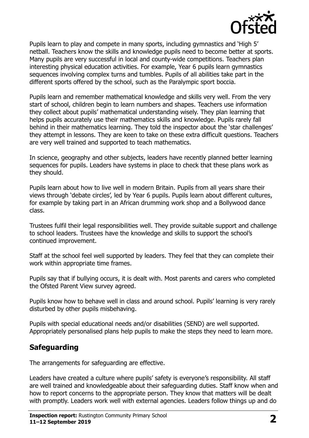

Pupils learn to play and compete in many sports, including gymnastics and 'High 5' netball. Teachers know the skills and knowledge pupils need to become better at sports. Many pupils are very successful in local and county-wide competitions. Teachers plan interesting physical education activities. For example, Year 6 pupils learn gymnastics sequences involving complex turns and tumbles. Pupils of all abilities take part in the different sports offered by the school, such as the Paralympic sport boccia.

Pupils learn and remember mathematical knowledge and skills very well. From the very start of school, children begin to learn numbers and shapes. Teachers use information they collect about pupils' mathematical understanding wisely. They plan learning that helps pupils accurately use their mathematics skills and knowledge. Pupils rarely fall behind in their mathematics learning. They told the inspector about the 'star challenges' they attempt in lessons. They are keen to take on these extra difficult questions. Teachers are very well trained and supported to teach mathematics.

In science, geography and other subjects, leaders have recently planned better learning sequences for pupils. Leaders have systems in place to check that these plans work as they should.

Pupils learn about how to live well in modern Britain. Pupils from all years share their views through 'debate circles', led by Year 6 pupils. Pupils learn about different cultures, for example by taking part in an African drumming work shop and a Bollywood dance class.

Trustees fulfil their legal responsibilities well. They provide suitable support and challenge to school leaders. Trustees have the knowledge and skills to support the school's continued improvement.

Staff at the school feel well supported by leaders. They feel that they can complete their work within appropriate time frames.

Pupils say that if bullying occurs, it is dealt with. Most parents and carers who completed the Ofsted Parent View survey agreed.

Pupils know how to behave well in class and around school. Pupils' learning is very rarely disturbed by other pupils misbehaving.

Pupils with special educational needs and/or disabilities (SEND) are well supported. Appropriately personalised plans help pupils to make the steps they need to learn more.

# **Safeguarding**

The arrangements for safeguarding are effective.

Leaders have created a culture where pupils' safety is everyone's responsibility. All staff are well trained and knowledgeable about their safeguarding duties. Staff know when and how to report concerns to the appropriate person. They know that matters will be dealt with promptly. Leaders work well with external agencies. Leaders follow things up and do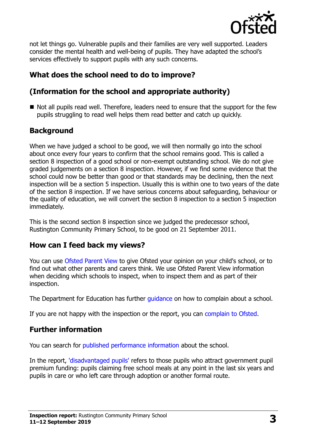

not let things go. Vulnerable pupils and their families are very well supported. Leaders consider the mental health and well-being of pupils. They have adapted the school's services effectively to support pupils with any such concerns.

# **What does the school need to do to improve?**

# **(Information for the school and appropriate authority)**

Not all pupils read well. Therefore, leaders need to ensure that the support for the few pupils struggling to read well helps them read better and catch up quickly.

# **Background**

When we have judged a school to be good, we will then normally go into the school about once every four years to confirm that the school remains good. This is called a section 8 inspection of a good school or non-exempt outstanding school. We do not give graded judgements on a section 8 inspection. However, if we find some evidence that the school could now be better than good or that standards may be declining, then the next inspection will be a section 5 inspection. Usually this is within one to two years of the date of the section 8 inspection. If we have serious concerns about safeguarding, behaviour or the quality of education, we will convert the section 8 inspection to a section 5 inspection immediately.

This is the second section 8 inspection since we judged the predecessor school, Rustington Community Primary School, to be good on 21 September 2011.

#### **How can I feed back my views?**

You can use [Ofsted Parent View](https://parentview.ofsted.gov.uk/) to give Ofsted your opinion on your child's school, or to find out what other parents and carers think. We use Ofsted Parent View information when deciding which schools to inspect, when to inspect them and as part of their inspection.

The Department for Education has further quidance on how to complain about a school.

If you are not happy with the inspection or the report, you can [complain to Ofsted.](https://www.gov.uk/complain-ofsted-report)

#### **Further information**

You can search for [published performance information](http://www.compare-school-performance.service.gov.uk/) about the school.

In the report, ['disadvantaged pupils'](http://www.gov.uk/guidance/pupil-premium-information-for-schools-and-alternative-provision-settings) refers to those pupils who attract government pupil premium funding: pupils claiming free school meals at any point in the last six years and pupils in care or who left care through adoption or another formal route.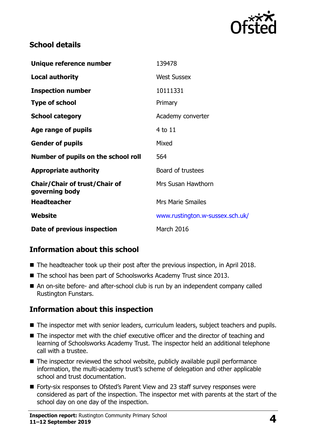

#### **School details**

| Unique reference number                                | 139478                          |
|--------------------------------------------------------|---------------------------------|
| <b>Local authority</b>                                 | <b>West Sussex</b>              |
| <b>Inspection number</b>                               | 10111331                        |
| <b>Type of school</b>                                  | Primary                         |
| <b>School category</b>                                 | Academy converter               |
| Age range of pupils                                    | $4$ to $11$                     |
| <b>Gender of pupils</b>                                | Mixed                           |
| Number of pupils on the school roll                    | 564                             |
| <b>Appropriate authority</b>                           | Board of trustees               |
| <b>Chair/Chair of trust/Chair of</b><br>governing body | Mrs Susan Hawthorn              |
| <b>Headteacher</b>                                     | <b>Mrs Marie Smailes</b>        |
| <b>Website</b>                                         | www.rustington.w-sussex.sch.uk/ |
| Date of previous inspection                            | March 2016                      |

# **Information about this school**

- The headteacher took up their post after the previous inspection, in April 2018.
- The school has been part of Schoolsworks Academy Trust since 2013.
- An on-site before- and after-school club is run by an independent company called Rustington Funstars.

#### **Information about this inspection**

- The inspector met with senior leaders, curriculum leaders, subject teachers and pupils.
- The inspector met with the chief executive officer and the director of teaching and learning of Schoolsworks Academy Trust. The inspector held an additional telephone call with a trustee.
- $\blacksquare$  The inspector reviewed the school website, publicly available pupil performance information, the multi-academy trust's scheme of delegation and other applicable school and trust documentation.
- Forty-six responses to Ofsted's Parent View and 23 staff survey responses were considered as part of the inspection. The inspector met with parents at the start of the school day on one day of the inspection.

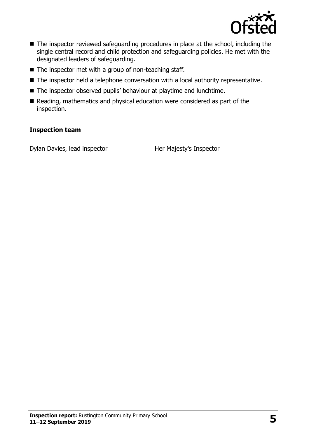

- The inspector reviewed safeguarding procedures in place at the school, including the single central record and child protection and safeguarding policies. He met with the designated leaders of safeguarding.
- $\blacksquare$  The inspector met with a group of non-teaching staff.
- The inspector held a telephone conversation with a local authority representative.
- The inspector observed pupils' behaviour at playtime and lunchtime.
- Reading, mathematics and physical education were considered as part of the inspection.

#### **Inspection team**

Dylan Davies, lead inspector Her Majesty's Inspector